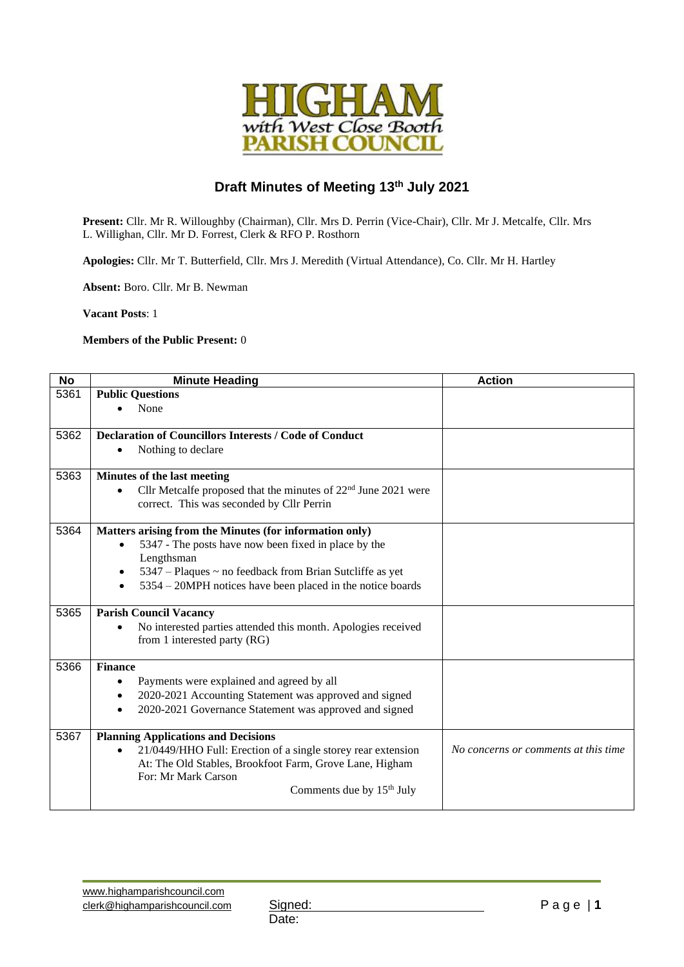

## **Draft Minutes of Meeting 13th July 2021**

**Present:** Cllr. Mr R. Willoughby (Chairman), Cllr. Mrs D. Perrin (Vice-Chair), Cllr. Mr J. Metcalfe, Cllr. Mrs L. Willighan, Cllr. Mr D. Forrest, Clerk & RFO P. Rosthorn

**Apologies:** Cllr. Mr T. Butterfield, Cllr. Mrs J. Meredith (Virtual Attendance), Co. Cllr. Mr H. Hartley

**Absent:** Boro. Cllr. Mr B. Newman

**Vacant Posts**: 1

**Members of the Public Present:** 0

| <b>No</b> | <b>Minute Heading</b>                                                                                           | <b>Action</b>                        |
|-----------|-----------------------------------------------------------------------------------------------------------------|--------------------------------------|
| 5361      | <b>Public Questions</b>                                                                                         |                                      |
|           | None                                                                                                            |                                      |
|           |                                                                                                                 |                                      |
| 5362      | <b>Declaration of Councillors Interests / Code of Conduct</b>                                                   |                                      |
|           | Nothing to declare<br>$\bullet$                                                                                 |                                      |
| 5363      | Minutes of the last meeting                                                                                     |                                      |
|           | Cllr Metcalfe proposed that the minutes of $22nd$ June $2021$ were                                              |                                      |
|           | correct. This was seconded by Cllr Perrin                                                                       |                                      |
| 5364      |                                                                                                                 |                                      |
|           | Matters arising from the Minutes (for information only)<br>5347 - The posts have now been fixed in place by the |                                      |
|           | $\bullet$<br>Lengthsman                                                                                         |                                      |
|           | 5347 – Plaques ~ no feedback from Brian Sutcliffe as yet<br>$\bullet$                                           |                                      |
|           | 5354 – 20MPH notices have been placed in the notice boards                                                      |                                      |
|           |                                                                                                                 |                                      |
| 5365      | <b>Parish Council Vacancy</b>                                                                                   |                                      |
|           | No interested parties attended this month. Apologies received                                                   |                                      |
|           | from 1 interested party (RG)                                                                                    |                                      |
| 5366      | <b>Finance</b>                                                                                                  |                                      |
|           | Payments were explained and agreed by all                                                                       |                                      |
|           | 2020-2021 Accounting Statement was approved and signed<br>$\bullet$                                             |                                      |
|           | 2020-2021 Governance Statement was approved and signed                                                          |                                      |
|           |                                                                                                                 |                                      |
| 5367      | <b>Planning Applications and Decisions</b>                                                                      |                                      |
|           | 21/0449/HHO Full: Erection of a single storey rear extension                                                    | No concerns or comments at this time |
|           | At: The Old Stables, Brookfoot Farm, Grove Lane, Higham                                                         |                                      |
|           | For: Mr Mark Carson                                                                                             |                                      |
|           | Comments due by $15th$ July                                                                                     |                                      |
|           |                                                                                                                 |                                      |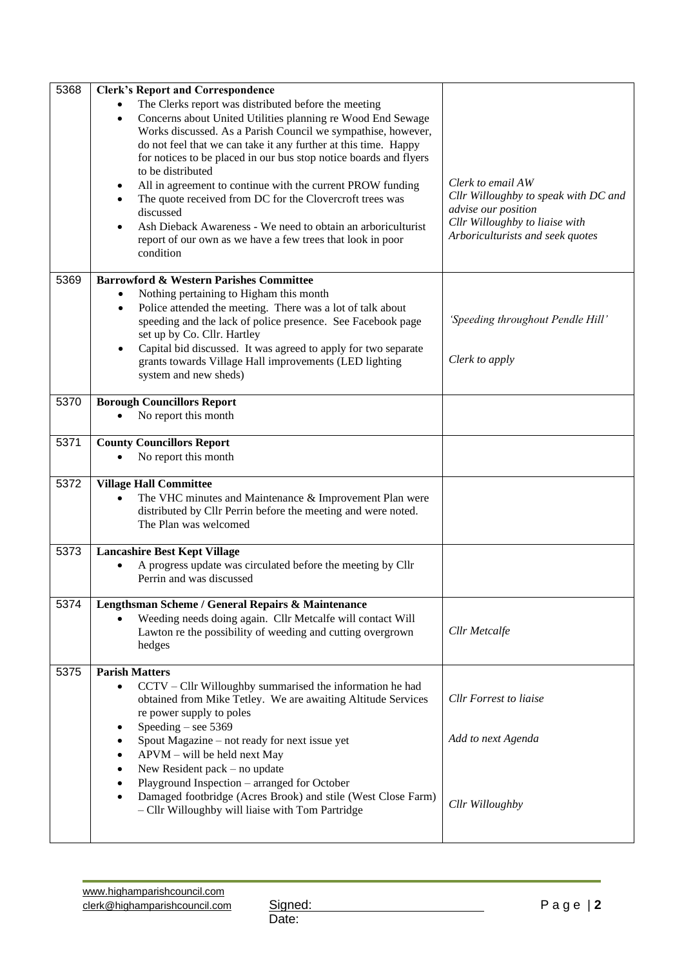| 5368 | <b>Clerk's Report and Correspondence</b>                                                                                                 |                                                       |
|------|------------------------------------------------------------------------------------------------------------------------------------------|-------------------------------------------------------|
|      | The Clerks report was distributed before the meeting                                                                                     |                                                       |
|      | Concerns about United Utilities planning re Wood End Sewage<br>$\bullet$<br>Works discussed. As a Parish Council we sympathise, however, |                                                       |
|      | do not feel that we can take it any further at this time. Happy                                                                          |                                                       |
|      | for notices to be placed in our bus stop notice boards and flyers<br>to be distributed                                                   |                                                       |
|      | All in agreement to continue with the current PROW funding<br>$\bullet$                                                                  | Clerk to email AW                                     |
|      | The quote received from DC for the Clovercroft trees was<br>$\bullet$                                                                    | Cllr Willoughby to speak with DC and                  |
|      | discussed                                                                                                                                | advise our position<br>Cllr Willoughby to liaise with |
|      | Ash Dieback Awareness - We need to obtain an arboriculturist<br>$\bullet$<br>report of our own as we have a few trees that look in poor  | Arboriculturists and seek quotes                      |
|      | condition                                                                                                                                |                                                       |
| 5369 | <b>Barrowford &amp; Western Parishes Committee</b>                                                                                       |                                                       |
|      | Nothing pertaining to Higham this month<br>$\bullet$                                                                                     |                                                       |
|      | Police attended the meeting. There was a lot of talk about<br>$\bullet$                                                                  |                                                       |
|      | speeding and the lack of police presence. See Facebook page<br>set up by Co. Cllr. Hartley                                               | 'Speeding throughout Pendle Hill'                     |
|      | Capital bid discussed. It was agreed to apply for two separate<br>$\bullet$                                                              |                                                       |
|      | grants towards Village Hall improvements (LED lighting<br>system and new sheds)                                                          | Clerk to apply                                        |
|      |                                                                                                                                          |                                                       |
| 5370 | <b>Borough Councillors Report</b>                                                                                                        |                                                       |
|      | No report this month                                                                                                                     |                                                       |
| 5371 | <b>County Councillors Report</b>                                                                                                         |                                                       |
|      | No report this month                                                                                                                     |                                                       |
| 5372 | <b>Village Hall Committee</b>                                                                                                            |                                                       |
|      | The VHC minutes and Maintenance & Improvement Plan were<br>$\bullet$                                                                     |                                                       |
|      | distributed by Cllr Perrin before the meeting and were noted.<br>The Plan was welcomed                                                   |                                                       |
|      |                                                                                                                                          |                                                       |
| 5373 | <b>Lancashire Best Kept Village</b>                                                                                                      |                                                       |
|      | A progress update was circulated before the meeting by Cllr<br>Perrin and was discussed                                                  |                                                       |
| 5374 | Lengthsman Scheme / General Repairs & Maintenance                                                                                        |                                                       |
|      | Weeding needs doing again. Cllr Metcalfe will contact Will                                                                               |                                                       |
|      | Lawton re the possibility of weeding and cutting overgrown<br>hedges                                                                     | Cllr Metcalfe                                         |
|      |                                                                                                                                          |                                                       |
| 5375 | <b>Parish Matters</b>                                                                                                                    |                                                       |
|      | CCTV - Cllr Willoughby summarised the information he had<br>٠<br>obtained from Mike Tetley. We are awaiting Altitude Services            | <b>Cllr</b> Forrest to liaise                         |
|      | re power supply to poles                                                                                                                 |                                                       |
|      | Speeding $-$ see 5369                                                                                                                    |                                                       |
|      | Spout Magazine – not ready for next issue yet<br>APVM - will be held next May                                                            | Add to next Agenda                                    |
|      | New Resident pack – no update                                                                                                            |                                                       |
|      | Playground Inspection - arranged for October                                                                                             |                                                       |
|      | Damaged footbridge (Acres Brook) and stile (West Close Farm)                                                                             | Cllr Willoughby                                       |
|      | - Cllr Willoughby will liaise with Tom Partridge                                                                                         |                                                       |
|      |                                                                                                                                          |                                                       |